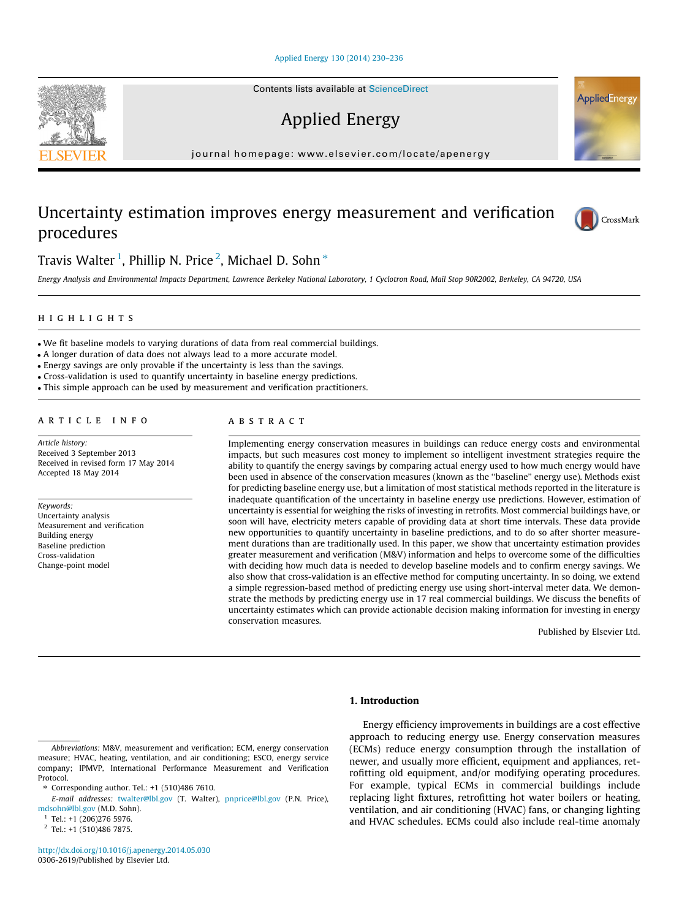#### [Applied Energy 130 \(2014\) 230–236](http://dx.doi.org/10.1016/j.apenergy.2014.05.030)

Contents lists available at [ScienceDirect](http://www.sciencedirect.com/science/journal/03062619)

Applied Energy

journal homepage: [www.elsevier.com/locate/apenergy](http://www.elsevier.com/locate/apenergy)

# Uncertainty estimation improves energy measurement and verification procedures



AppliedEnergy

# Travis Walter <sup>1</sup>, Phillip N. Price <sup>2</sup>, Michael D. Sohn \*

Energy Analysis and Environmental Impacts Department, Lawrence Berkeley National Laboratory, 1 Cyclotron Road, Mail Stop 90R2002, Berkeley, CA 94720, USA

#### highlights

- We fit baseline models to varying durations of data from real commercial buildings.

- A longer duration of data does not always lead to a more accurate model.
- Energy savings are only provable if the uncertainty is less than the savings.
- Cross-validation is used to quantify uncertainty in baseline energy predictions.
- This simple approach can be used by measurement and verification practitioners.

#### article info

Article history: Received 3 September 2013 Received in revised form 17 May 2014 Accepted 18 May 2014

Keywords: Uncertainty analysis Measurement and verification Building energy Baseline prediction Cross-validation Change-point model

# **ABSTRACT**

Implementing energy conservation measures in buildings can reduce energy costs and environmental impacts, but such measures cost money to implement so intelligent investment strategies require the ability to quantify the energy savings by comparing actual energy used to how much energy would have been used in absence of the conservation measures (known as the ''baseline'' energy use). Methods exist for predicting baseline energy use, but a limitation of most statistical methods reported in the literature is inadequate quantification of the uncertainty in baseline energy use predictions. However, estimation of uncertainty is essential for weighing the risks of investing in retrofits. Most commercial buildings have, or soon will have, electricity meters capable of providing data at short time intervals. These data provide new opportunities to quantify uncertainty in baseline predictions, and to do so after shorter measurement durations than are traditionally used. In this paper, we show that uncertainty estimation provides greater measurement and verification (M&V) information and helps to overcome some of the difficulties with deciding how much data is needed to develop baseline models and to confirm energy savings. We also show that cross-validation is an effective method for computing uncertainty. In so doing, we extend a simple regression-based method of predicting energy use using short-interval meter data. We demonstrate the methods by predicting energy use in 17 real commercial buildings. We discuss the benefits of uncertainty estimates which can provide actionable decision making information for investing in energy conservation measures.

Published by Elsevier Ltd.

#### 1. Introduction

Energy efficiency improvements in buildings are a cost effective approach to reducing energy use. Energy conservation measures (ECMs) reduce energy consumption through the installation of newer, and usually more efficient, equipment and appliances, retrofitting old equipment, and/or modifying operating procedures. For example, typical ECMs in commercial buildings include replacing light fixtures, retrofitting hot water boilers or heating, ventilation, and air conditioning (HVAC) fans, or changing lighting and HVAC schedules. ECMs could also include real-time anomaly



Abbreviations: M&V, measurement and verification; ECM, energy conservation measure; HVAC, heating, ventilation, and air conditioning; ESCO, energy service company; IPMVP, International Performance Measurement and Verification Protocol.

 $*$  Corresponding author. Tel.:  $+1$  (510)486 7610.

E-mail addresses: [twalter@lbl.gov](mailto:twalter@lbl.gov) (T. Walter), [pnprice@lbl.gov](mailto:pnprice@lbl.gov) (P.N. Price), [mdsohn@lbl.gov](mailto:mdsohn@lbl.gov) (M.D. Sohn).

 $1$  Tel.: +1 (206)276 5976.

<sup>2</sup> Tel.: +1 (510)486 7875.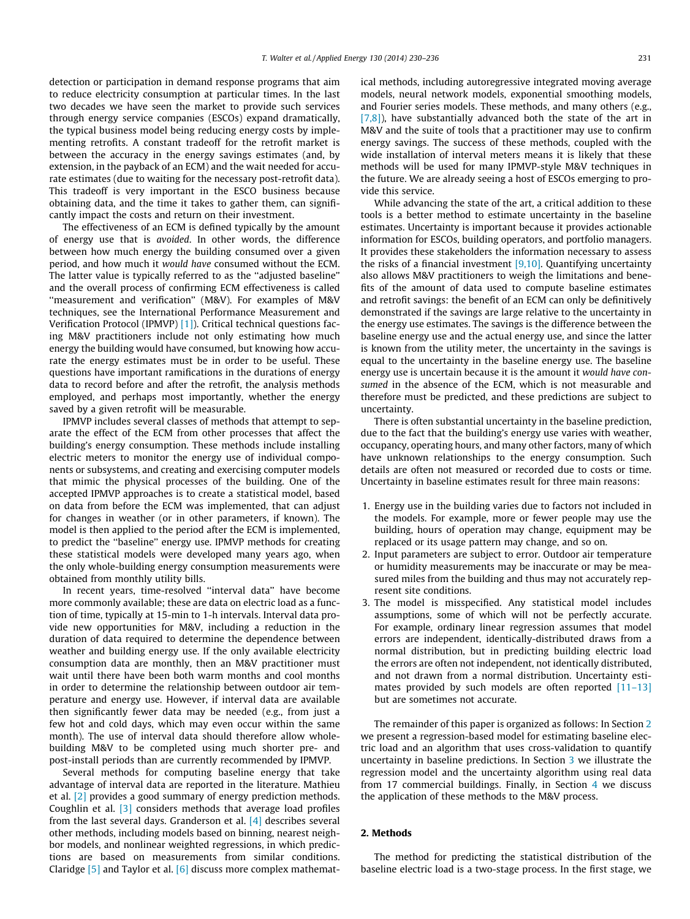detection or participation in demand response programs that aim to reduce electricity consumption at particular times. In the last two decades we have seen the market to provide such services through energy service companies (ESCOs) expand dramatically, the typical business model being reducing energy costs by implementing retrofits. A constant tradeoff for the retrofit market is between the accuracy in the energy savings estimates (and, by extension, in the payback of an ECM) and the wait needed for accurate estimates (due to waiting for the necessary post-retrofit data). This tradeoff is very important in the ESCO business because obtaining data, and the time it takes to gather them, can significantly impact the costs and return on their investment.

The effectiveness of an ECM is defined typically by the amount of energy use that is avoided. In other words, the difference between how much energy the building consumed over a given period, and how much it would have consumed without the ECM. The latter value is typically referred to as the ''adjusted baseline'' and the overall process of confirming ECM effectiveness is called "measurement and verification" (M&V). For examples of M&V techniques, see the International Performance Measurement and Verification Protocol (IPMVP) [\[1\]\)](#page-6-0). Critical technical questions facing M&V practitioners include not only estimating how much energy the building would have consumed, but knowing how accurate the energy estimates must be in order to be useful. These questions have important ramifications in the durations of energy data to record before and after the retrofit, the analysis methods employed, and perhaps most importantly, whether the energy saved by a given retrofit will be measurable.

IPMVP includes several classes of methods that attempt to separate the effect of the ECM from other processes that affect the building's energy consumption. These methods include installing electric meters to monitor the energy use of individual components or subsystems, and creating and exercising computer models that mimic the physical processes of the building. One of the accepted IPMVP approaches is to create a statistical model, based on data from before the ECM was implemented, that can adjust for changes in weather (or in other parameters, if known). The model is then applied to the period after the ECM is implemented, to predict the ''baseline'' energy use. IPMVP methods for creating these statistical models were developed many years ago, when the only whole-building energy consumption measurements were obtained from monthly utility bills.

In recent years, time-resolved ''interval data'' have become more commonly available; these are data on electric load as a function of time, typically at 15-min to 1-h intervals. Interval data provide new opportunities for M&V, including a reduction in the duration of data required to determine the dependence between weather and building energy use. If the only available electricity consumption data are monthly, then an M&V practitioner must wait until there have been both warm months and cool months in order to determine the relationship between outdoor air temperature and energy use. However, if interval data are available then significantly fewer data may be needed (e.g., from just a few hot and cold days, which may even occur within the same month). The use of interval data should therefore allow wholebuilding M&V to be completed using much shorter pre- and post-install periods than are currently recommended by IPMVP.

Several methods for computing baseline energy that take advantage of interval data are reported in the literature. Mathieu et al. [\[2\]](#page-6-0) provides a good summary of energy prediction methods. Coughlin et al. [\[3\]](#page-6-0) considers methods that average load profiles from the last several days. Granderson et al. [\[4\]](#page-6-0) describes several other methods, including models based on binning, nearest neighbor models, and nonlinear weighted regressions, in which predictions are based on measurements from similar conditions. Claridge [\[5\]](#page-6-0) and Taylor et al. [\[6\]](#page-6-0) discuss more complex mathematical methods, including autoregressive integrated moving average models, neural network models, exponential smoothing models, and Fourier series models. These methods, and many others (e.g., [\[7,8\]\)](#page-6-0), have substantially advanced both the state of the art in M&V and the suite of tools that a practitioner may use to confirm energy savings. The success of these methods, coupled with the wide installation of interval meters means it is likely that these methods will be used for many IPMVP-style M&V techniques in the future. We are already seeing a host of ESCOs emerging to provide this service.

While advancing the state of the art, a critical addition to these tools is a better method to estimate uncertainty in the baseline estimates. Uncertainty is important because it provides actionable information for ESCOs, building operators, and portfolio managers. It provides these stakeholders the information necessary to assess the risks of a financial investment  $[9,10]$ . Quantifying uncertainty also allows M&V practitioners to weigh the limitations and benefits of the amount of data used to compute baseline estimates and retrofit savings: the benefit of an ECM can only be definitively demonstrated if the savings are large relative to the uncertainty in the energy use estimates. The savings is the difference between the baseline energy use and the actual energy use, and since the latter is known from the utility meter, the uncertainty in the savings is equal to the uncertainty in the baseline energy use. The baseline energy use is uncertain because it is the amount it would have consumed in the absence of the ECM, which is not measurable and therefore must be predicted, and these predictions are subject to uncertainty.

There is often substantial uncertainty in the baseline prediction, due to the fact that the building's energy use varies with weather, occupancy, operating hours, and many other factors, many of which have unknown relationships to the energy consumption. Such details are often not measured or recorded due to costs or time. Uncertainty in baseline estimates result for three main reasons:

- 1. Energy use in the building varies due to factors not included in the models. For example, more or fewer people may use the building, hours of operation may change, equipment may be replaced or its usage pattern may change, and so on.
- 2. Input parameters are subject to error. Outdoor air temperature or humidity measurements may be inaccurate or may be measured miles from the building and thus may not accurately represent site conditions.
- 3. The model is misspecified. Any statistical model includes assumptions, some of which will not be perfectly accurate. For example, ordinary linear regression assumes that model errors are independent, identically-distributed draws from a normal distribution, but in predicting building electric load the errors are often not independent, not identically distributed, and not drawn from a normal distribution. Uncertainty estimates provided by such models are often reported [11-13] but are sometimes not accurate.

The remainder of this paper is organized as follows: In Section 2 we present a regression-based model for estimating baseline electric load and an algorithm that uses cross-validation to quantify uncertainty in baseline predictions. In Section [3](#page-3-0) we illustrate the regression model and the uncertainty algorithm using real data from 17 commercial buildings. Finally, in Section [4](#page-6-0) we discuss the application of these methods to the M&V process.

## 2. Methods

The method for predicting the statistical distribution of the baseline electric load is a two-stage process. In the first stage, we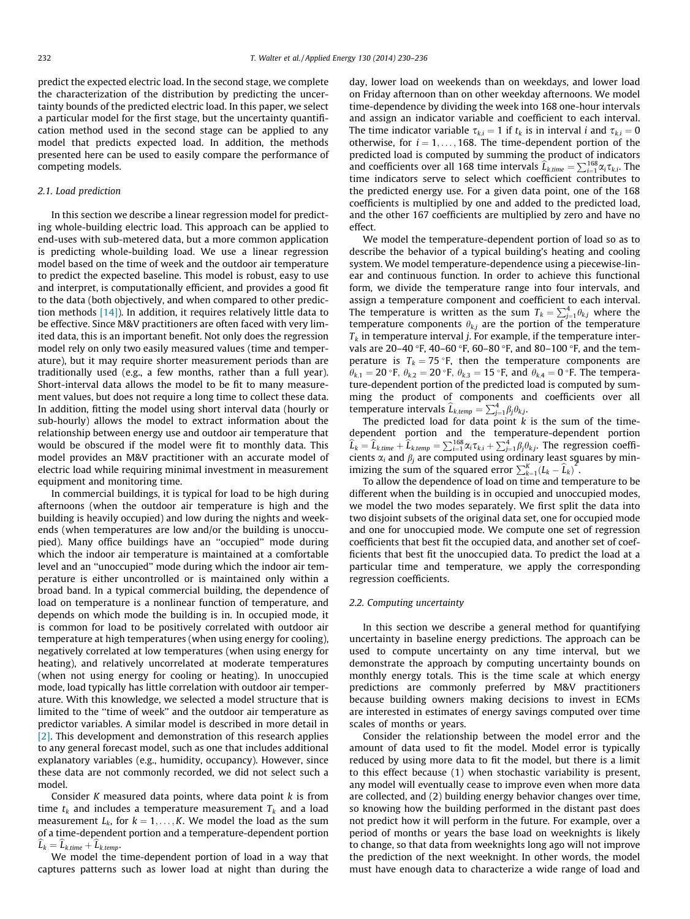<span id="page-2-0"></span>predict the expected electric load. In the second stage, we complete the characterization of the distribution by predicting the uncertainty bounds of the predicted electric load. In this paper, we select a particular model for the first stage, but the uncertainty quantification method used in the second stage can be applied to any model that predicts expected load. In addition, the methods presented here can be used to easily compare the performance of competing models.

#### 2.1. Load prediction

In this section we describe a linear regression model for predicting whole-building electric load. This approach can be applied to end-uses with sub-metered data, but a more common application is predicting whole-building load. We use a linear regression model based on the time of week and the outdoor air temperature to predict the expected baseline. This model is robust, easy to use and interpret, is computationally efficient, and provides a good fit to the data (both objectively, and when compared to other prediction methods [\[14\]\)](#page-6-0). In addition, it requires relatively little data to be effective. Since M&V practitioners are often faced with very limited data, this is an important benefit. Not only does the regression model rely on only two easily measured values (time and temperature), but it may require shorter measurement periods than are traditionally used (e.g., a few months, rather than a full year). Short-interval data allows the model to be fit to many measurement values, but does not require a long time to collect these data. In addition, fitting the model using short interval data (hourly or sub-hourly) allows the model to extract information about the relationship between energy use and outdoor air temperature that would be obscured if the model were fit to monthly data. This model provides an M&V practitioner with an accurate model of electric load while requiring minimal investment in measurement equipment and monitoring time.

In commercial buildings, it is typical for load to be high during afternoons (when the outdoor air temperature is high and the building is heavily occupied) and low during the nights and weekends (when temperatures are low and/or the building is unoccupied). Many office buildings have an ''occupied'' mode during which the indoor air temperature is maintained at a comfortable level and an ''unoccupied'' mode during which the indoor air temperature is either uncontrolled or is maintained only within a broad band. In a typical commercial building, the dependence of load on temperature is a nonlinear function of temperature, and depends on which mode the building is in. In occupied mode, it is common for load to be positively correlated with outdoor air temperature at high temperatures (when using energy for cooling), negatively correlated at low temperatures (when using energy for heating), and relatively uncorrelated at moderate temperatures (when not using energy for cooling or heating). In unoccupied mode, load typically has little correlation with outdoor air temperature. With this knowledge, we selected a model structure that is limited to the ''time of week'' and the outdoor air temperature as predictor variables. A similar model is described in more detail in [\[2\]](#page-6-0). This development and demonstration of this research applies to any general forecast model, such as one that includes additional explanatory variables (e.g., humidity, occupancy). However, since these data are not commonly recorded, we did not select such a model.

Consider K measured data points, where data point  $k$  is from time  $t_k$  and includes a temperature measurement  $T_k$  and a load measurement  $L_k$ , for  $k = 1, ..., K$ . We model the load as the sum of a time-dependent portion and a temperature-dependent portion  $\widetilde{L}_k = \widetilde{L}_{k,time} + \widetilde{L}_{k,temp}$ .

We model the time-dependent portion of load in a way that captures patterns such as lower load at night than during the

day, lower load on weekends than on weekdays, and lower load on Friday afternoon than on other weekday afternoons. We model time-dependence by dividing the week into 168 one-hour intervals and assign an indicator variable and coefficient to each interval. The time indicator variable  $\tau_{k,i} = 1$  if  $t_k$  is in interval *i* and  $\tau_{k,i} = 0$ otherwise, for  $i = 1, \ldots, 168$ . The time-dependent portion of the predicted load is computed by summing the product of indicators and coefficients over all 168 time intervals  $\hat{L}_{k,time}^{t} = \sum_{i=1}^{168} \alpha_i \tau_{k,i}$ . The time indicators serve to select which coefficient contributes to the predicted energy use. For a given data point, one of the 168 coefficients is multiplied by one and added to the predicted load, and the other 167 coefficients are multiplied by zero and have no effect.

We model the temperature-dependent portion of load so as to describe the behavior of a typical building's heating and cooling system. We model temperature-dependence using a piecewise-linear and continuous function. In order to achieve this functional form, we divide the temperature range into four intervals, and assign a temperature component and coefficient to each interval. The temperature is written as the sum  $T_k = \sum_{j=1}^{4} \theta_{kj}$  where the temperature components  $\theta_{kj}$  are the portion of the temperature  $T_k$  in temperature interval *j*. For example, if the temperature intervals are 20–40  $\degree$ F, 40–60  $\degree$ F, 60–80  $\degree$ F, and 80–100  $\degree$ F, and the temperature is  $T_k = 75$  F, then the temperature components are  $\theta_{k,1} = 20 \text{ }^{\circ}\text{F}, \ \theta_{k,2} = 20 \text{ }^{\circ}\text{F}, \ \theta_{k,3} = 15 \text{ }^{\circ}\text{F}, \ \text{and} \ \theta_{k,4} = 0 \text{ }^{\circ}\text{F}.$  The temperature-dependent portion of the predicted load is computed by summing the product of components and coefficients over all temperature intervals  $\hat{L}_{k, temp} = \sum_{j=1}^{4} \beta_j \theta_{kj}$ .

The predicted load for data point  $k$  is the sum of the timedependent portion and the temperature-dependent portion  $\widehat{L}_k = \widehat{L}_{k,time} + \widehat{L}_{k,temp} = \sum_{i=1}^{168} \alpha_i \tau_{k,i} + \sum_{j=1}^{4} \beta_j \theta_{kj}$ . The regression coefficients  $\alpha_i$  and  $\beta_j$  are computed using ordinary least squares by minimizing the sum of the squared error  $\sum_{k=1}^{K} (L_k - \widehat{L}_k)^2$ .

To allow the dependence of load on time and temperature to be different when the building is in occupied and unoccupied modes, we model the two modes separately. We first split the data into two disjoint subsets of the original data set, one for occupied mode and one for unoccupied mode. We compute one set of regression coefficients that best fit the occupied data, and another set of coefficients that best fit the unoccupied data. To predict the load at a particular time and temperature, we apply the corresponding regression coefficients.

### 2.2. Computing uncertainty

In this section we describe a general method for quantifying uncertainty in baseline energy predictions. The approach can be used to compute uncertainty on any time interval, but we demonstrate the approach by computing uncertainty bounds on monthly energy totals. This is the time scale at which energy predictions are commonly preferred by M&V practitioners because building owners making decisions to invest in ECMs are interested in estimates of energy savings computed over time scales of months or years.

Consider the relationship between the model error and the amount of data used to fit the model. Model error is typically reduced by using more data to fit the model, but there is a limit to this effect because (1) when stochastic variability is present, any model will eventually cease to improve even when more data are collected, and (2) building energy behavior changes over time, so knowing how the building performed in the distant past does not predict how it will perform in the future. For example, over a period of months or years the base load on weeknights is likely to change, so that data from weeknights long ago will not improve the prediction of the next weeknight. In other words, the model must have enough data to characterize a wide range of load and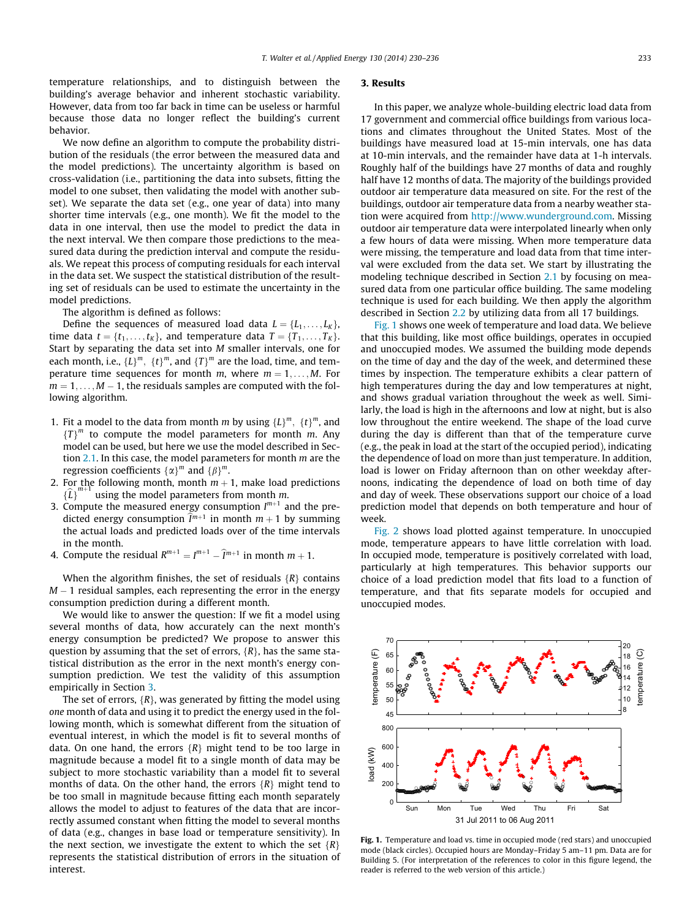<span id="page-3-0"></span>temperature relationships, and to distinguish between the building's average behavior and inherent stochastic variability. However, data from too far back in time can be useless or harmful because those data no longer reflect the building's current behavior.

We now define an algorithm to compute the probability distribution of the residuals (the error between the measured data and the model predictions). The uncertainty algorithm is based on cross-validation (i.e., partitioning the data into subsets, fitting the model to one subset, then validating the model with another subset). We separate the data set (e.g., one year of data) into many shorter time intervals (e.g., one month). We fit the model to the data in one interval, then use the model to predict the data in the next interval. We then compare those predictions to the measured data during the prediction interval and compute the residuals. We repeat this process of computing residuals for each interval in the data set. We suspect the statistical distribution of the resulting set of residuals can be used to estimate the uncertainty in the model predictions.

The algorithm is defined as follows:

Define the sequences of measured load data  $L = \{L_1, \ldots, L_K\},\$ time data  $t = \{t_1, \ldots, t_K\}$ , and temperature data  $T = \{T_1, \ldots, T_K\}$ . Start by separating the data set into M smaller intervals, one for each month, i.e.,  ${L_1^m, {t_1^m, a_n d} \{T\}}^m$  are the load, time, and temperature time sequences for month m, where  $m = 1, \ldots, M$ . For  $m = 1, \ldots, M - 1$ , the residuals samples are computed with the following algorithm.

- 1. Fit a model to the data from month *m* by using  ${L}^{m}$ ,  ${t}^{m}$ , and  $\{T\}^m$  to compute the model parameters for month m. Any model can be used, but here we use the model described in Section [2.1](#page-2-0). In this case, the model parameters for month m are the regression coefficients  $\{\alpha\}^m$  and  $\{\beta\}^m$ .
- 2. For the following month, month  $m + 1$ , make load predictions  $\{\widehat{L}\}^{m+1}$  using the model parameters from month m.
- 3. Compute the measured energy consumption  $I^{m+1}$  and the predicted energy consumption  $\widetilde{I}^{m+1}$  in month  $m + 1$  by summing the actual loads and predicted loads over of the time intervals in the month.
- 4. Compute the residual  $R^{m+1} = I^{m+1} \widehat{I}^{m+1}$  in month  $m + 1$ .

When the algorithm finishes, the set of residuals  $\{R\}$  contains  $M - 1$  residual samples, each representing the error in the energy consumption prediction during a different month.

We would like to answer the question: If we fit a model using several months of data, how accurately can the next month's energy consumption be predicted? We propose to answer this question by assuming that the set of errors,  $\{R\}$ , has the same statistical distribution as the error in the next month's energy consumption prediction. We test the validity of this assumption empirically in Section 3.

The set of errors,  $\{R\}$ , was generated by fitting the model using one month of data and using it to predict the energy used in the following month, which is somewhat different from the situation of eventual interest, in which the model is fit to several months of data. On one hand, the errors  $\{R\}$  might tend to be too large in magnitude because a model fit to a single month of data may be subject to more stochastic variability than a model fit to several months of data. On the other hand, the errors  $\{R\}$  might tend to be too small in magnitude because fitting each month separately allows the model to adjust to features of the data that are incorrectly assumed constant when fitting the model to several months of data (e.g., changes in base load or temperature sensitivity). In the next section, we investigate the extent to which the set  $\{R\}$ represents the statistical distribution of errors in the situation of interest.

#### 3. Results

In this paper, we analyze whole-building electric load data from 17 government and commercial office buildings from various locations and climates throughout the United States. Most of the buildings have measured load at 15-min intervals, one has data at 10-min intervals, and the remainder have data at 1-h intervals. Roughly half of the buildings have 27 months of data and roughly half have 12 months of data. The majority of the buildings provided outdoor air temperature data measured on site. For the rest of the buildings, outdoor air temperature data from a nearby weather station were acquired from [http://www.wunderground.com.](http://www.wunderground.com) Missing outdoor air temperature data were interpolated linearly when only a few hours of data were missing. When more temperature data were missing, the temperature and load data from that time interval were excluded from the data set. We start by illustrating the modeling technique described in Section [2.1](#page-2-0) by focusing on measured data from one particular office building. The same modeling technique is used for each building. We then apply the algorithm described in Section [2.2](#page-2-0) by utilizing data from all 17 buildings.

Fig. 1 shows one week of temperature and load data. We believe that this building, like most office buildings, operates in occupied and unoccupied modes. We assumed the building mode depends on the time of day and the day of the week, and determined these times by inspection. The temperature exhibits a clear pattern of high temperatures during the day and low temperatures at night, and shows gradual variation throughout the week as well. Similarly, the load is high in the afternoons and low at night, but is also low throughout the entire weekend. The shape of the load curve during the day is different than that of the temperature curve (e.g., the peak in load at the start of the occupied period), indicating the dependence of load on more than just temperature. In addition, load is lower on Friday afternoon than on other weekday afternoons, indicating the dependence of load on both time of day and day of week. These observations support our choice of a load prediction model that depends on both temperature and hour of week.

[Fig. 2](#page-4-0) shows load plotted against temperature. In unoccupied mode, temperature appears to have little correlation with load. In occupied mode, temperature is positively correlated with load, particularly at high temperatures. This behavior supports our choice of a load prediction model that fits load to a function of temperature, and that fits separate models for occupied and unoccupied modes.



Fig. 1. Temperature and load vs. time in occupied mode (red stars) and unoccupied mode (black circles). Occupied hours are Monday–Friday 5 am–11 pm. Data are for Building 5. (For interpretation of the references to color in this figure legend, the reader is referred to the web version of this article.)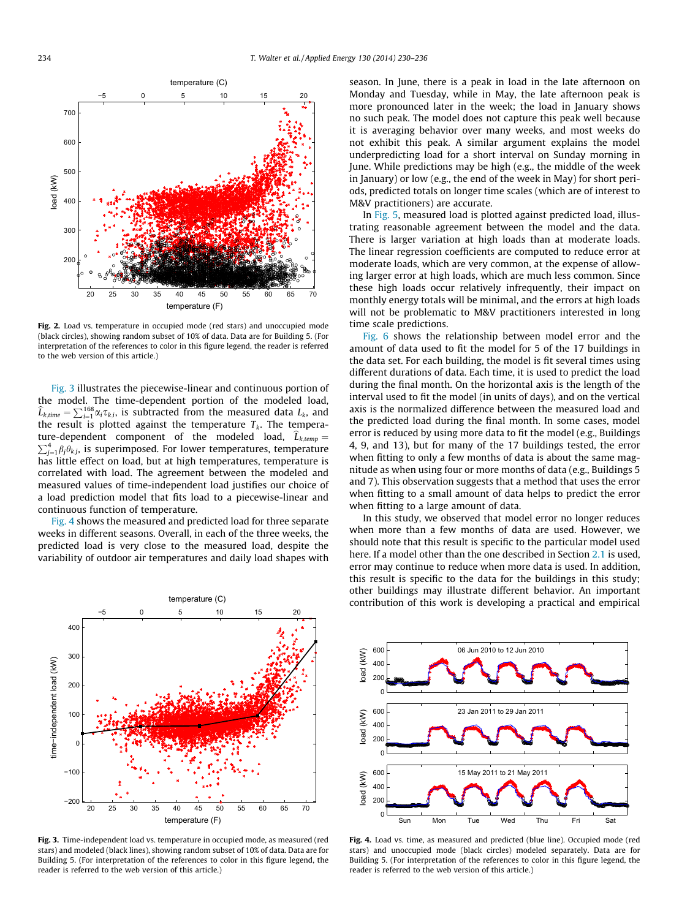<span id="page-4-0"></span>

Fig. 2. Load vs. temperature in occupied mode (red stars) and unoccupied mode (black circles), showing random subset of 10% of data. Data are for Building 5. (For interpretation of the references to color in this figure legend, the reader is referred to the web version of this article.)

Fig. 3 illustrates the piecewise-linear and continuous portion of the model. The time-dependent portion of the modeled load,  $\hat{L}_{k,time} = \sum_{i=1}^{168} \alpha_i \tau_{k,i}$ , is subtracted from the measured data  $L_k$ , and the result is plotted against the temperature  $T_k$ . The temperature-dependent component of the modeled load,  $\hat{L}_{k, temp} =$  $\sum_{i=1}^{4} \beta_i \theta_{kj}$ , is superimposed. For lower temperatures, temperature has little effect on load, but at high temperatures, temperature is correlated with load. The agreement between the modeled and measured values of time-independent load justifies our choice of a load prediction model that fits load to a piecewise-linear and continuous function of temperature.

Fig. 4 shows the measured and predicted load for three separate weeks in different seasons. Overall, in each of the three weeks, the predicted load is very close to the measured load, despite the variability of outdoor air temperatures and daily load shapes with



Fig. 3. Time-independent load vs. temperature in occupied mode, as measured (red stars) and modeled (black lines), showing random subset of 10% of data. Data are for Building 5. (For interpretation of the references to color in this figure legend, the reader is referred to the web version of this article.)

season. In June, there is a peak in load in the late afternoon on Monday and Tuesday, while in May, the late afternoon peak is more pronounced later in the week; the load in January shows no such peak. The model does not capture this peak well because it is averaging behavior over many weeks, and most weeks do not exhibit this peak. A similar argument explains the model underpredicting load for a short interval on Sunday morning in June. While predictions may be high (e.g., the middle of the week in January) or low (e.g., the end of the week in May) for short periods, predicted totals on longer time scales (which are of interest to M&V practitioners) are accurate.

In [Fig. 5,](#page-5-0) measured load is plotted against predicted load, illustrating reasonable agreement between the model and the data. There is larger variation at high loads than at moderate loads. The linear regression coefficients are computed to reduce error at moderate loads, which are very common, at the expense of allowing larger error at high loads, which are much less common. Since these high loads occur relatively infrequently, their impact on monthly energy totals will be minimal, and the errors at high loads will not be problematic to M&V practitioners interested in long time scale predictions.

[Fig. 6](#page-5-0) shows the relationship between model error and the amount of data used to fit the model for 5 of the 17 buildings in the data set. For each building, the model is fit several times using different durations of data. Each time, it is used to predict the load during the final month. On the horizontal axis is the length of the interval used to fit the model (in units of days), and on the vertical axis is the normalized difference between the measured load and the predicted load during the final month. In some cases, model error is reduced by using more data to fit the model (e.g., Buildings 4, 9, and 13), but for many of the 17 buildings tested, the error when fitting to only a few months of data is about the same magnitude as when using four or more months of data (e.g., Buildings 5 and 7). This observation suggests that a method that uses the error when fitting to a small amount of data helps to predict the error when fitting to a large amount of data.

In this study, we observed that model error no longer reduces when more than a few months of data are used. However, we should note that this result is specific to the particular model used here. If a model other than the one described in Section [2.1](#page-2-0) is used, error may continue to reduce when more data is used. In addition, this result is specific to the data for the buildings in this study; other buildings may illustrate different behavior. An important contribution of this work is developing a practical and empirical



Fig. 4. Load vs. time, as measured and predicted (blue line). Occupied mode (red stars) and unoccupied mode (black circles) modeled separately. Data are for Building 5. (For interpretation of the references to color in this figure legend, the reader is referred to the web version of this article.)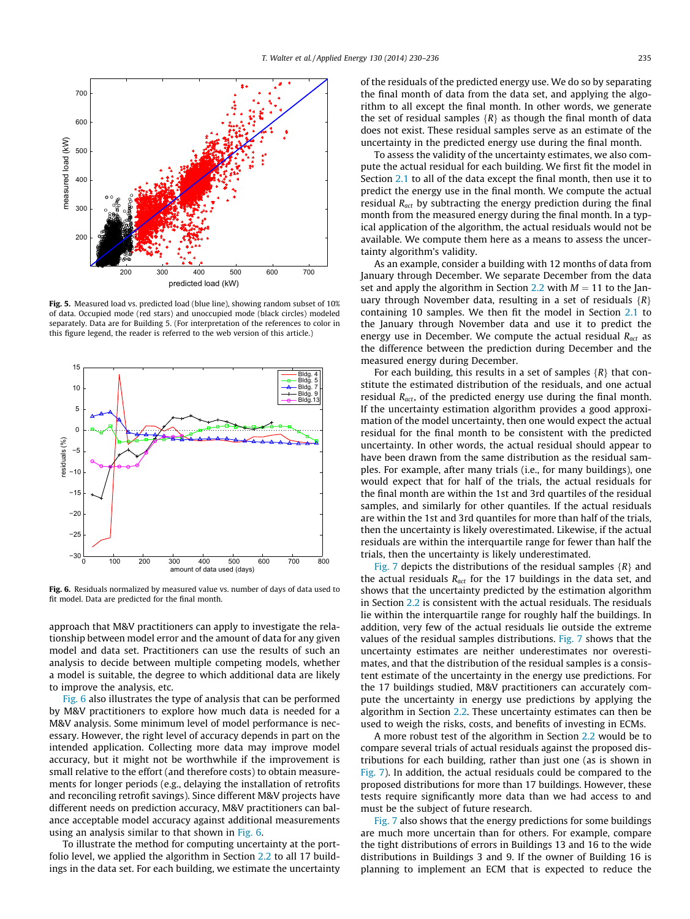<span id="page-5-0"></span>

Fig. 5. Measured load vs. predicted load (blue line), showing random subset of 10% of data. Occupied mode (red stars) and unoccupied mode (black circles) modeled separately. Data are for Building 5. (For interpretation of the references to color in this figure legend, the reader is referred to the web version of this article.)



Fig. 6. Residuals normalized by measured value vs. number of days of data used to fit model. Data are predicted for the final month.

approach that M&V practitioners can apply to investigate the relationship between model error and the amount of data for any given model and data set. Practitioners can use the results of such an analysis to decide between multiple competing models, whether a model is suitable, the degree to which additional data are likely to improve the analysis, etc.

Fig. 6 also illustrates the type of analysis that can be performed by M&V practitioners to explore how much data is needed for a M&V analysis. Some minimum level of model performance is necessary. However, the right level of accuracy depends in part on the intended application. Collecting more data may improve model accuracy, but it might not be worthwhile if the improvement is small relative to the effort (and therefore costs) to obtain measurements for longer periods (e.g., delaying the installation of retrofits and reconciling retrofit savings). Since different M&V projects have different needs on prediction accuracy, M&V practitioners can balance acceptable model accuracy against additional measurements using an analysis similar to that shown in Fig. 6.

To illustrate the method for computing uncertainty at the portfolio level, we applied the algorithm in Section [2.2](#page-2-0) to all 17 buildings in the data set. For each building, we estimate the uncertainty of the residuals of the predicted energy use. We do so by separating the final month of data from the data set, and applying the algorithm to all except the final month. In other words, we generate the set of residual samples  $\{R\}$  as though the final month of data does not exist. These residual samples serve as an estimate of the uncertainty in the predicted energy use during the final month.

To assess the validity of the uncertainty estimates, we also compute the actual residual for each building. We first fit the model in Section [2.1](#page-2-0) to all of the data except the final month, then use it to predict the energy use in the final month. We compute the actual residual  $R_{act}$  by subtracting the energy prediction during the final month from the measured energy during the final month. In a typical application of the algorithm, the actual residuals would not be available. We compute them here as a means to assess the uncertainty algorithm's validity.

As an example, consider a building with 12 months of data from January through December. We separate December from the data set and apply the algorithm in Section [2.2](#page-2-0) with  $M = 11$  to the January through November data, resulting in a set of residuals  $\{R\}$ containing 10 samples. We then fit the model in Section [2.1](#page-2-0) to the January through November data and use it to predict the energy use in December. We compute the actual residual  $R_{act}$  as the difference between the prediction during December and the measured energy during December.

For each building, this results in a set of samples  $\{R\}$  that constitute the estimated distribution of the residuals, and one actual residual  $R_{act}$ , of the predicted energy use during the final month. If the uncertainty estimation algorithm provides a good approximation of the model uncertainty, then one would expect the actual residual for the final month to be consistent with the predicted uncertainty. In other words, the actual residual should appear to have been drawn from the same distribution as the residual samples. For example, after many trials (i.e., for many buildings), one would expect that for half of the trials, the actual residuals for the final month are within the 1st and 3rd quartiles of the residual samples, and similarly for other quantiles. If the actual residuals are within the 1st and 3rd quantiles for more than half of the trials, then the uncertainty is likely overestimated. Likewise, if the actual residuals are within the interquartile range for fewer than half the trials, then the uncertainty is likely underestimated.

[Fig. 7](#page-6-0) depicts the distributions of the residual samples  $\{R\}$  and the actual residuals  $R_{act}$  for the 17 buildings in the data set, and shows that the uncertainty predicted by the estimation algorithm in Section [2.2](#page-2-0) is consistent with the actual residuals. The residuals lie within the interquartile range for roughly half the buildings. In addition, very few of the actual residuals lie outside the extreme values of the residual samples distributions. [Fig. 7](#page-6-0) shows that the uncertainty estimates are neither underestimates nor overestimates, and that the distribution of the residual samples is a consistent estimate of the uncertainty in the energy use predictions. For the 17 buildings studied, M&V practitioners can accurately compute the uncertainty in energy use predictions by applying the algorithm in Section [2.2](#page-2-0). These uncertainty estimates can then be used to weigh the risks, costs, and benefits of investing in ECMs.

A more robust test of the algorithm in Section [2.2](#page-2-0) would be to compare several trials of actual residuals against the proposed distributions for each building, rather than just one (as is shown in [Fig. 7](#page-6-0)). In addition, the actual residuals could be compared to the proposed distributions for more than 17 buildings. However, these tests require significantly more data than we had access to and must be the subject of future research.

[Fig. 7](#page-6-0) also shows that the energy predictions for some buildings are much more uncertain than for others. For example, compare the tight distributions of errors in Buildings 13 and 16 to the wide distributions in Buildings 3 and 9. If the owner of Building 16 is planning to implement an ECM that is expected to reduce the